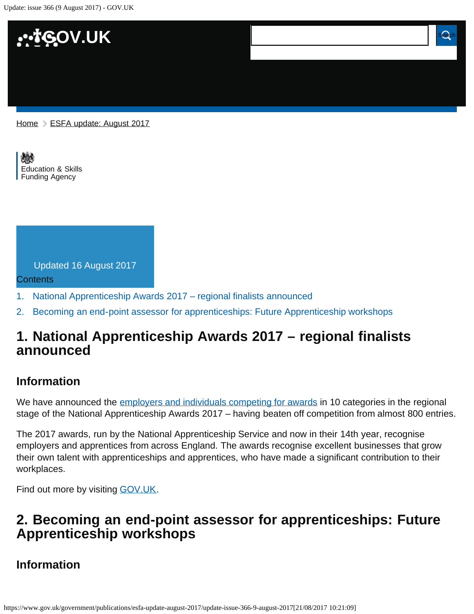Update: issue 366 (9 August 2017) - GOV.UK



[Education & Skills](https://www.gov.uk/government/organisations/education-and-skills-funding-agency)  [Funding Agency](https://www.gov.uk/government/organisations/education-and-skills-funding-agency)



- [1.](#page-0-0) [National Apprenticeship Awards 2017 regional finalists announced](#page-0-0)
- [2.](#page-0-1) [Becoming an end-point assessor for apprenticeships: Future Apprenticeship workshops](#page-0-1)

## <span id="page-0-0"></span>**1. National Apprenticeship Awards 2017 – regional finalists announced**

### **Information**

We have announced the [employers and individuals competing for awards](https://www.gov.uk/government/news/national-apprenticeship-awards-2017-regional-finalists-announced) in 10 categories in the regional stage of the National Apprenticeship Awards 2017 – having beaten off competition from almost 800 entries.

The 2017 awards, run by the National Apprenticeship Service and now in their 14th year, recognise employers and apprentices from across England. The awards recognise excellent businesses that grow their own talent with apprenticeships and apprentices, who have made a significant contribution to their workplaces.

Find out more by visiting **GOV.UK.** 

# <span id="page-0-1"></span>**2. Becoming an end-point assessor for apprenticeships: Future Apprenticeship workshops**

## **Information**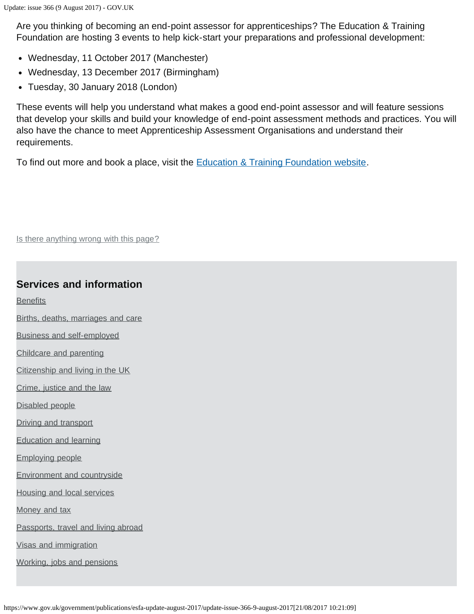Are you thinking of becoming an end-point assessor for apprenticeships? The Education & Training Foundation are hosting 3 events to help kick-start your preparations and professional development:

- Wednesday, 11 October 2017 (Manchester)
- Wednesday, 13 December 2017 (Birmingham)
- Tuesday, 30 January 2018 (London)

These events will help you understand what makes a good end-point assessor and will feature sessions that develop your skills and build your knowledge of end-point assessment methods and practices. You will also have the chance to meet Apprenticeship Assessment Organisations and understand their requirements.

To find out more and book a place, visit the **Education & Training Foundation website**.

Is there anything wrong with this page?

#### **Services and information**

**[Benefits](https://www.gov.uk/browse/benefits)** 

- [Births, deaths, marriages and care](https://www.gov.uk/browse/births-deaths-marriages)
- [Business and self-employed](https://www.gov.uk/browse/business)
- [Childcare and parenting](https://www.gov.uk/browse/childcare-parenting)
- [Citizenship and living in the UK](https://www.gov.uk/browse/citizenship)
- [Crime, justice and the law](https://www.gov.uk/browse/justice)
- [Disabled people](https://www.gov.uk/browse/disabilities)
- [Driving and transport](https://www.gov.uk/browse/driving)
- [Education and learning](https://www.gov.uk/browse/education)

[Employing people](https://www.gov.uk/browse/employing-people)

- [Environment and countryside](https://www.gov.uk/browse/environment-countryside)
- [Housing and local services](https://www.gov.uk/browse/housing-local-services)

[Money and tax](https://www.gov.uk/browse/tax)

- [Passports, travel and living abroad](https://www.gov.uk/browse/abroad)
- [Visas and immigration](https://www.gov.uk/browse/visas-immigration)
- [Working, jobs and pensions](https://www.gov.uk/browse/working)